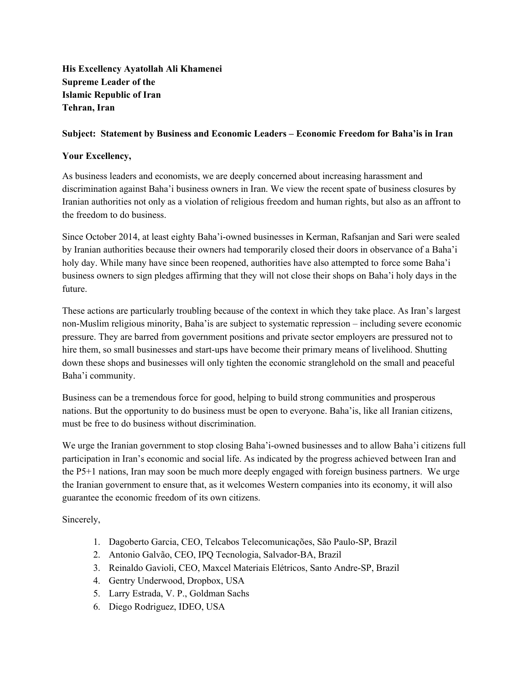**His Excellency Ayatollah Ali Khamenei Supreme Leader of the Islamic Republic of Iran Tehran, Iran**

## **Subject: Statement by Business and Economic Leaders – Economic Freedom for Baha'is in Iran**

## **Your Excellency,**

As business leaders and economists, we are deeply concerned about increasing harassment and discrimination against Baha'i business owners in Iran. We view the recent spate of business closures by Iranian authorities not only as a violation of religious freedom and human rights, but also as an affront to the freedom to do business.

Since October 2014, at least eighty Baha'i-owned businesses in Kerman, Rafsanjan and Sari were sealed by Iranian authorities because their owners had temporarily closed their doors in observance of a Baha'i holy day. While many have since been reopened, authorities have also attempted to force some Baha'i business owners to sign pledges affirming that they will not close their shops on Baha'i holy days in the future.

These actions are particularly troubling because of the context in which they take place. As Iran's largest non-Muslim religious minority, Baha'is are subject to systematic repression – including severe economic pressure. They are barred from government positions and private sector employers are pressured not to hire them, so small businesses and start-ups have become their primary means of livelihood. Shutting down these shops and businesses will only tighten the economic stranglehold on the small and peaceful Baha'i community.

Business can be a tremendous force for good, helping to build strong communities and prosperous nations. But the opportunity to do business must be open to everyone. Baha'is, like all Iranian citizens, must be free to do business without discrimination.

We urge the Iranian government to stop closing Baha'i-owned businesses and to allow Baha'i citizens full participation in Iran's economic and social life. As indicated by the progress achieved between Iran and the P5+1 nations, Iran may soon be much more deeply engaged with foreign business partners. We urge the Iranian government to ensure that, as it welcomes Western companies into its economy, it will also guarantee the economic freedom of its own citizens.

Sincerely,

- 1. Dagoberto Garcia, CEO, Telcabos Telecomunicações, São Paulo-SP, Brazil
- 2. Antonio Galvão, CEO, IPO Tecnologia, Salvador-BA, Brazil
- 3. Reinaldo Gavioli, CEO, Maxcel Materiais Elétricos, Santo Andre-SP, Brazil
- 4. Gentry Underwood, Dropbox, USA
- 5. Larry Estrada, V. P., Goldman Sachs
- 6. Diego Rodriguez, IDEO, USA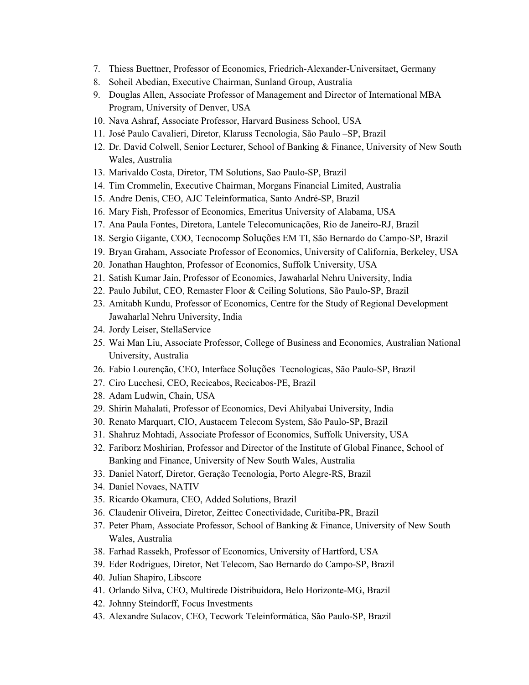- 7. Thiess Buettner, Professor of Economics, Friedrich-Alexander-Universitaet, Germany
- 8. Soheil Abedian, Executive Chairman, Sunland Group, Australia
- 9. Douglas Allen, Associate Professor of Management and Director of International MBA Program, University of Denver, USA
- 10. Nava Ashraf, Associate Professor, Harvard Business School, USA
- 11. José Paulo Cavalieri, Diretor, Klaruss Tecnologia, São Paulo –SP, Brazil
- 12. Dr. David Colwell, Senior Lecturer, School of Banking & Finance, University of New South Wales, Australia
- 13. Marivaldo Costa, Diretor, TM Solutions, Sao Paulo-SP, Brazil
- 14. Tim Crommelin, Executive Chairman, Morgans Financial Limited, Australia
- 15. Andre Denis, CEO, AJC Teleinformatica, Santo André-SP, Brazil
- 16. Mary Fish, Professor of Economics, Emeritus University of Alabama, USA
- 17. Ana Paula Fontes, Diretora, Lantele Telecomunicações, Rio de Janeiro-RJ, Brazil
- 18. Sergio Gigante, COO, Tecnocomp Soluções EM TI, São Bernardo do Campo-SP, Brazil
- 19. Bryan Graham, Associate Professor of Economics, University of California, Berkeley, USA
- 20. Jonathan Haughton, Professor of Economics, Suffolk University, USA
- 21. Satish Kumar Jain, Professor of Economics, Jawaharlal Nehru University, India
- 22. Paulo Jubilut, CEO, Remaster Floor & Ceiling Solutions, São Paulo-SP, Brazil
- 23. Amitabh Kundu, Professor of Economics, Centre for the Study of Regional Development Jawaharlal Nehru University, India
- 24. Jordy Leiser, StellaService
- 25. Wai Man Liu, Associate Professor, College of Business and Economics, Australian National University, Australia
- 26. Fabio Lourenção, CEO, Interface Soluções Tecnologicas, São Paulo-SP, Brazil
- 27. Ciro Lucchesi, CEO, Recicabos, Recicabos-PE, Brazil
- 28. Adam Ludwin, Chain, USA
- 29. Shirin Mahalati, Professor of Economics, Devi Ahilyabai University, India
- 30. Renato Marquart, CIO, Austacem Telecom System, São Paulo-SP, Brazil
- 31. Shahruz Mohtadi, Associate Professor of Economics, Suffolk University, USA
- 32. Fariborz Moshirian, Professor and Director of the Institute of Global Finance, School of Banking and Finance, University of New South Wales, Australia
- 33. Daniel Natorf, Diretor, Geração Tecnologia, Porto Alegre-RS, Brazil
- 34. Daniel Novaes, NATIV
- 35. Ricardo Okamura, CEO, Added Solutions, Brazil
- 36. Claudenir Oliveira, Diretor, Zeittec Conectividade, Curitiba-PR, Brazil
- 37. Peter Pham, Associate Professor, School of Banking & Finance, University of New South Wales, Australia
- 38. Farhad Rassekh, Professor of Economics, University of Hartford, USA
- 39. Eder Rodrigues, Diretor, Net Telecom, Sao Bernardo do Campo-SP, Brazil
- 40. Julian Shapiro, Libscore
- 41. Orlando Silva, CEO, Multirede Distribuidora, Belo Horizonte-MG, Brazil
- 42. Johnny Steindorff, Focus Investments
- 43. Alexandre Sulacov, CEO, Tecwork Teleinformática, São Paulo-SP, Brazil